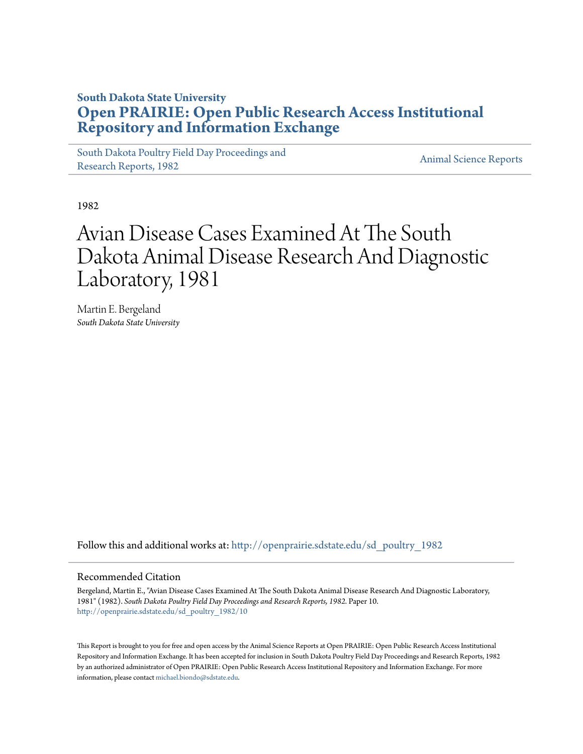## **South Dakota State University [Open PRAIRIE: Open Public Research Access Institutional](http://openprairie.sdstate.edu?utm_source=openprairie.sdstate.edu%2Fsd_poultry_1982%2F10&utm_medium=PDF&utm_campaign=PDFCoverPages) [Repository and Information Exchange](http://openprairie.sdstate.edu?utm_source=openprairie.sdstate.edu%2Fsd_poultry_1982%2F10&utm_medium=PDF&utm_campaign=PDFCoverPages)**

[South Dakota Poultry Field Day Proceedings and](http://openprairie.sdstate.edu/sd_poultry_1982?utm_source=openprairie.sdstate.edu%2Fsd_poultry_1982%2F10&utm_medium=PDF&utm_campaign=PDFCoverPages) [Research Reports, 1982](http://openprairie.sdstate.edu/sd_poultry_1982?utm_source=openprairie.sdstate.edu%2Fsd_poultry_1982%2F10&utm_medium=PDF&utm_campaign=PDFCoverPages)<br>Research Reports, 1982

1982

## Avian Disease Cases Examined At The South Dakota Animal Disease Research And Diagnostic Laboratory, 1981

Martin E. Bergeland *South Dakota State University*

Follow this and additional works at: [http://openprairie.sdstate.edu/sd\\_poultry\\_1982](http://openprairie.sdstate.edu/sd_poultry_1982?utm_source=openprairie.sdstate.edu%2Fsd_poultry_1982%2F10&utm_medium=PDF&utm_campaign=PDFCoverPages)

## Recommended Citation

Bergeland, Martin E., "Avian Disease Cases Examined At The South Dakota Animal Disease Research And Diagnostic Laboratory, 1981" (1982). *South Dakota Poultry Field Day Proceedings and Research Reports, 1982.* Paper 10. [http://openprairie.sdstate.edu/sd\\_poultry\\_1982/10](http://openprairie.sdstate.edu/sd_poultry_1982/10?utm_source=openprairie.sdstate.edu%2Fsd_poultry_1982%2F10&utm_medium=PDF&utm_campaign=PDFCoverPages)

This Report is brought to you for free and open access by the Animal Science Reports at Open PRAIRIE: Open Public Research Access Institutional Repository and Information Exchange. It has been accepted for inclusion in South Dakota Poultry Field Day Proceedings and Research Reports, 1982 by an authorized administrator of Open PRAIRIE: Open Public Research Access Institutional Repository and Information Exchange. For more information, please contact [michael.biondo@sdstate.edu](mailto:michael.biondo@sdstate.edu).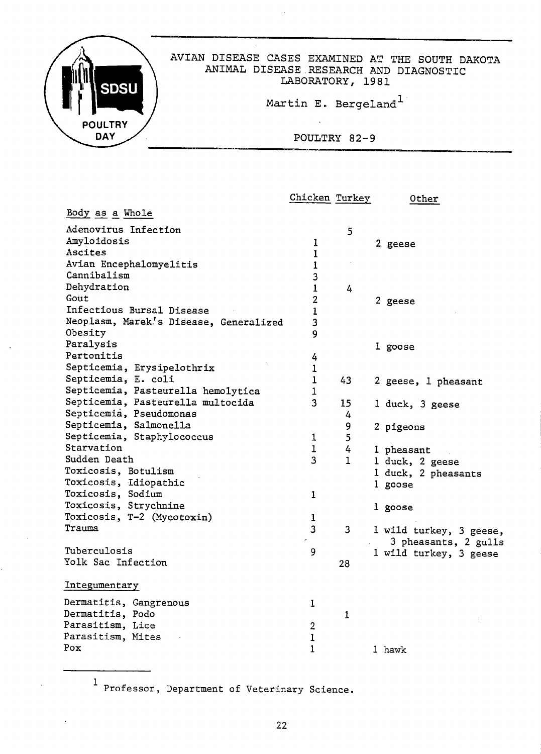

|                                        | Chicken Turkey   |    | Other                   |
|----------------------------------------|------------------|----|-------------------------|
| Body as a Whole                        |                  |    |                         |
| Adenovirus Infection                   |                  | 5  |                         |
| Amyloidosis                            | 1                |    | 2 geese                 |
| Ascites                                | $\mathbf{1}$     |    |                         |
| Avian Encephalomyelitis                | $\mathbf{1}$     |    |                         |
| Cannibalism                            | 3                |    |                         |
| Dehydration                            | $\mathbf{1}$     | 4  |                         |
| Gout                                   | $\boldsymbol{2}$ |    | 2 geese                 |
| Infectious Bursal Disease              | $\mathbf{1}$     |    |                         |
| Neoplasm, Marek's Disease, Generalized | 3                |    |                         |
| Obesity                                | 9                |    |                         |
| Paralysis                              |                  |    | 1 goose                 |
| Pertonitis                             | 4                |    |                         |
| Septicemia, Erysipelothrix             | 1                |    |                         |
| Septicemia, E. coli                    | 1                | 43 | 2 geese, 1 pheasant     |
| Septicemia, Pasteurella hemolytica     | 1                |    |                         |
| Septicemia, Pasteurella multocida      | 3                | 15 | 1 duck, 3 geese         |
| Septicemia, Pseudomonas                |                  | 4  |                         |
| Septicemia, Salmonella                 |                  | 9  | 2 pigeons               |
| Septicemia, Staphylococcus             | $\mathbf 1$      | 5  |                         |
| Starvation                             | 1                | 4  | 1 pheasant              |
| Sudden Death                           | 3                | 1  | 1 duck, 2 geese         |
| Toxicosis, Botulism                    |                  |    | 1 duck, 2 pheasants     |
| Toxicosis, Idiopathic                  |                  |    | 1 goose                 |
| Toxicosis, Sodium                      | $\mathbf{1}$     |    |                         |
| Toxicosis, Strychnine                  |                  |    | 1 goose                 |
| Toxicosis, T-2 (Mycotoxin)             | 1                |    |                         |
| Trauma                                 | 3                | 3  | 1 wild turkey, 3 geese, |
|                                        | ٠                |    | 3 pheasants, 2 gulls    |
| Tuberculosis                           | 9                |    | 1 wild turkey, 3 geese  |
| Yolk Sac Infection                     |                  | 28 |                         |
| Integumentary                          |                  |    |                         |
| Dermatitis, Gangrenous                 | 1                |    |                         |
| Dermatitis, Podo                       |                  | 1  |                         |
| Parasitism, Lice                       | $\boldsymbol{2}$ |    |                         |
| Parasitism, Mites                      | $\mathbf 1$      |    |                         |
| Pox                                    | $\mathbf 1$      |    | 1 hawk                  |

Professor, Department of Veterinary Science.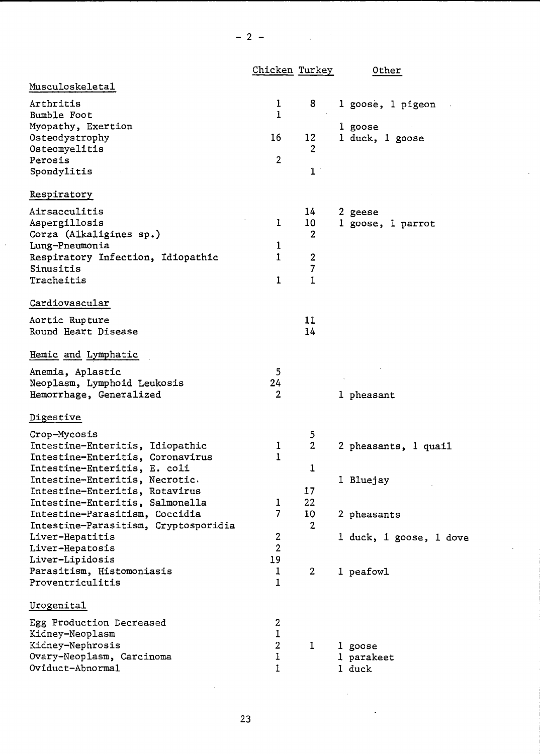|                                      | Chicken Turkey          |                | Other                   |
|--------------------------------------|-------------------------|----------------|-------------------------|
| Musculoskeletal                      |                         |                |                         |
| Arthritis                            | 1                       | 8              | l goose, 1 pigeon       |
| Bumble Foot                          | 1                       |                |                         |
| Myopathy, Exertion                   |                         |                | 1 goose                 |
| Osteodystrophy                       | 16                      | 12             | 1 duck, 1 goose         |
| Osteomyelitis                        |                         | 2              |                         |
| Perosis                              | $\overline{2}$          |                |                         |
| Spondylitis                          |                         | 1 <sup>1</sup> |                         |
| Respiratory                          |                         |                |                         |
| Airsacculitis                        |                         | 14             | 2 geese                 |
| Aspergillosis                        | 1                       | 10             | 1 goose, 1 parrot       |
| Corza (Alkaligines sp.)              |                         | $\overline{2}$ |                         |
| Lung-Pneumonia                       | ı                       |                |                         |
| Respiratory Infection, Idiopathic    | 1                       | 2              |                         |
| Sinusitis                            |                         | 7              |                         |
| Tracheitis                           | 1                       | 1              |                         |
| Cardiovascular                       |                         |                |                         |
| Aortic Rupture                       |                         | 11             |                         |
| Round Heart Disease                  |                         | 14             |                         |
| Hemic and Lymphatic                  |                         |                |                         |
| Anemia, Aplastic                     | 5                       |                |                         |
| Neoplasm, Lymphoid Leukosis          | 24                      |                |                         |
| Hemorrhage, Generalized              | $\mathbf{2}$            |                | 1 pheasant              |
|                                      |                         |                |                         |
| Digestive                            |                         |                |                         |
| Crop-Mycosis                         |                         | 5              |                         |
| Intestine-Enteritis, Idiopathic      | 1                       | $\overline{2}$ | 2 pheasants, 1 quail    |
| Intestine-Enteritis, Coronavirus     | 1                       |                |                         |
| Intestine-Enteritis, E. coli         |                         | 1              |                         |
| Intestine-Enteritis, Necrotic.       |                         |                | 1 Bluejay               |
| Intestine-Enteritis, Rotavirus       |                         | 17             |                         |
| Intestine-Enteritis, Salmonella      | ı                       | 22             |                         |
| Intestine-Parasitism, Coccidia       | $\overline{7}$          | 10             | 2 pheasants             |
| Intestine-Parasitism, Cryptosporidia |                         | $\overline{2}$ |                         |
| Liver-Hepatitis                      | $\overline{\mathbf{c}}$ |                | 1 duck, 1 goose, 1 dove |
| Liver-Hepatosis                      | $\overline{2}$          |                |                         |
| Liver-Lipidosis                      | 19                      |                |                         |
| Parasitism, Histomoniasis            | 1                       | $\overline{2}$ | 1 peafowl               |
| Proventriculitis                     | 1                       |                |                         |
| Urogenital                           |                         |                |                         |
| Egg Production Decreased             | 2                       |                |                         |
| Kidney-Neoplasm                      | $\mathbf 1$             |                |                         |
| Kidney-Nephrosis                     | $\boldsymbol{2}$        | 1              | 1 goose                 |
| Ovary-Neoplasm, Carcinoma            | 1                       |                | 1 parakeet              |
| Oviduct-Abnormal                     | 1                       |                | 1 duck                  |